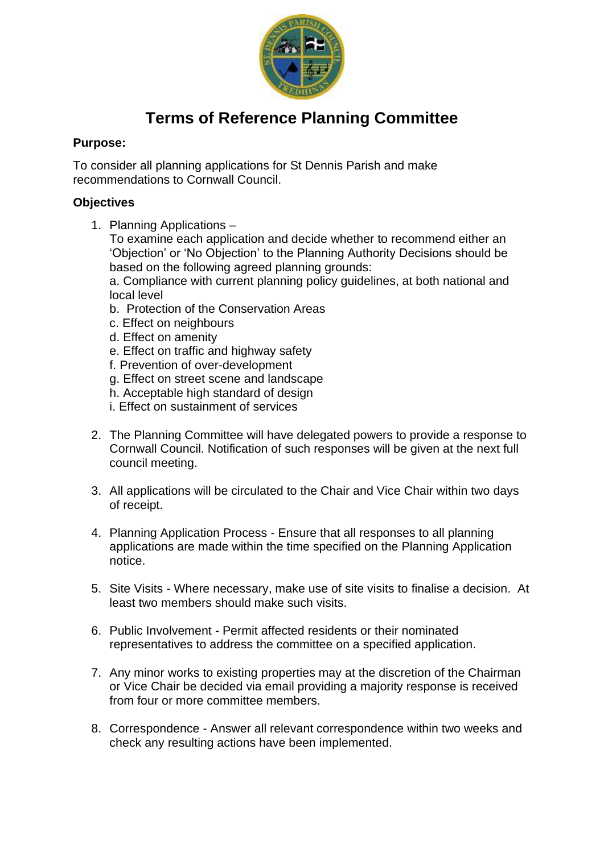

# **Terms of Reference Planning Committee**

## **Purpose:**

To consider all planning applications for St Dennis Parish and make recommendations to Cornwall Council.

## **Objectives**

1. Planning Applications –

To examine each application and decide whether to recommend either an 'Objection' or 'No Objection' to the Planning Authority Decisions should be based on the following agreed planning grounds:

a. Compliance with current planning policy guidelines, at both national and local level

- b. Protection of the Conservation Areas
- c. Effect on neighbours
- d. Effect on amenity
- e. Effect on traffic and highway safety
- f. Prevention of over-development
- g. Effect on street scene and landscape
- h. Acceptable high standard of design
- i. Effect on sustainment of services
- 2. The Planning Committee will have delegated powers to provide a response to Cornwall Council. Notification of such responses will be given at the next full council meeting.
- 3. All applications will be circulated to the Chair and Vice Chair within two days of receipt.
- 4. Planning Application Process Ensure that all responses to all planning applications are made within the time specified on the Planning Application notice.
- 5. Site Visits Where necessary, make use of site visits to finalise a decision. At least two members should make such visits.
- 6. Public Involvement Permit affected residents or their nominated representatives to address the committee on a specified application.
- 7. Any minor works to existing properties may at the discretion of the Chairman or Vice Chair be decided via email providing a majority response is received from four or more committee members.
- 8. Correspondence Answer all relevant correspondence within two weeks and check any resulting actions have been implemented.